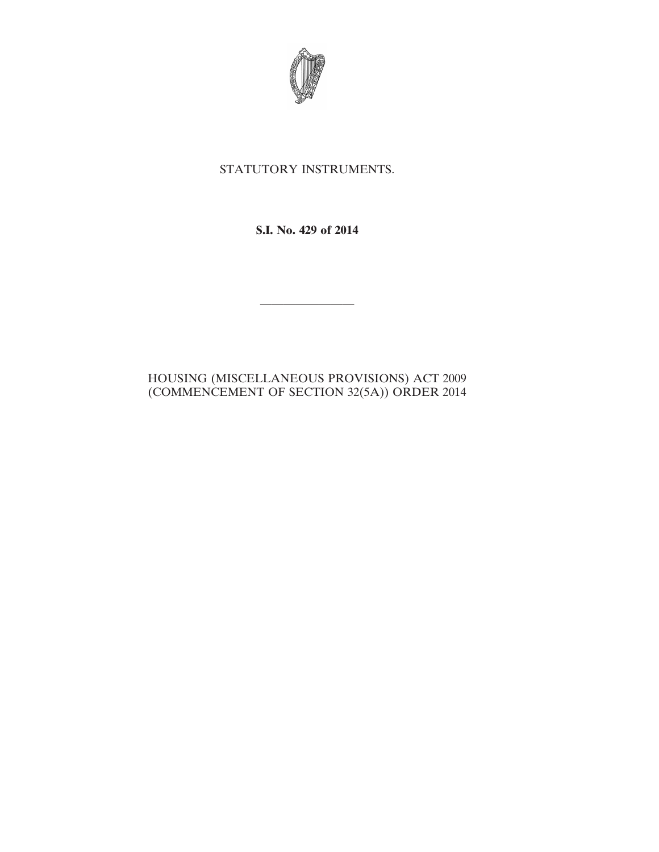

# STATUTORY INSTRUMENTS.

## **S.I. No. 429 of 2014**

————————

## HOUSING (MISCELLANEOUS PROVISIONS) ACT 2009 (COMMENCEMENT OF SECTION 32(5A)) ORDER 2014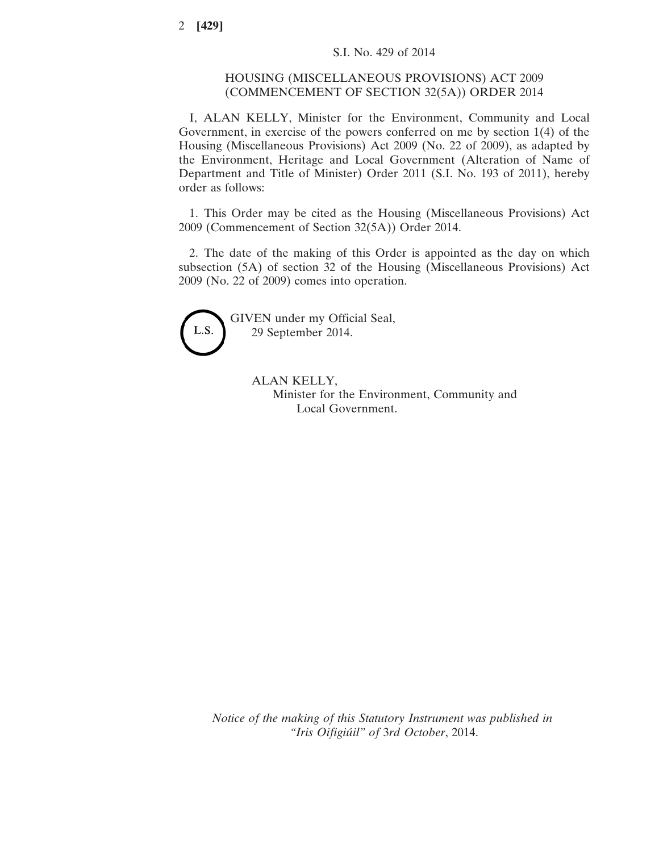#### HOUSING (MISCELLANEOUS PROVISIONS) ACT 2009 (COMMENCEMENT OF SECTION 32(5A)) ORDER 2014

I, ALAN KELLY, Minister for the Environment, Community and Local Government, in exercise of the powers conferred on me by section 1(4) of the Housing (Miscellaneous Provisions) Act 2009 (No. 22 of 2009), as adapted by the Environment, Heritage and Local Government (Alteration of Name of Department and Title of Minister) Order 2011 (S.I. No. 193 of 2011), hereby order as follows:

1. This Order may be cited as the Housing (Miscellaneous Provisions) Act 2009 (Commencement of Section 32(5A)) Order 2014.

2. The date of the making of this Order is appointed as the day on which subsection (5A) of section 32 of the Housing (Miscellaneous Provisions) Act 2009 (No. 22 of 2009) comes into operation.



GIVEN under my Official Seal, 29 September 2014.

> ALAN KELLY, Minister for the Environment, Community and Local Government.

*Notice of the making of this Statutory Instrument was published in "Iris Oifigiúil" of* 3*rd October*, 2014.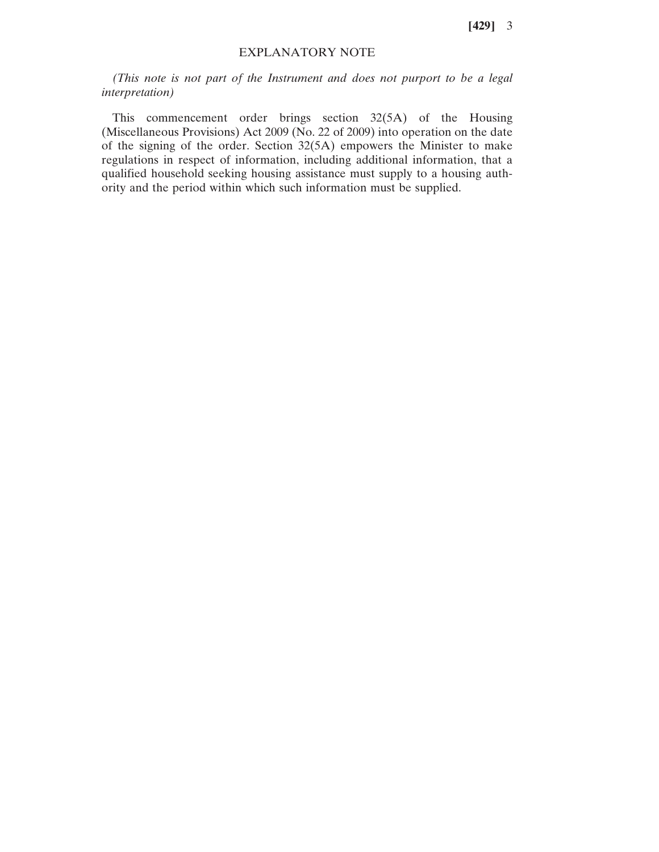**[429]** 3

#### EXPLANATORY NOTE

*(This note is not part of the Instrument and does not purport to be a legal interpretation)*

This commencement order brings section 32(5A) of the Housing (Miscellaneous Provisions) Act 2009 (No. 22 of 2009) into operation on the date of the signing of the order. Section 32(5A) empowers the Minister to make regulations in respect of information, including additional information, that a qualified household seeking housing assistance must supply to a housing authority and the period within which such information must be supplied.